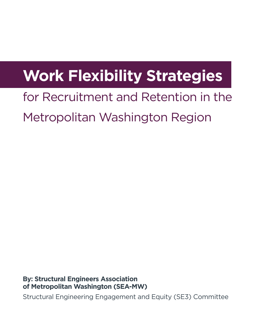# **Work Flexibility Strategies**

## for Recruitment and Retention in the Metropolitan Washington Region

**By: Structural Engineers Association of Metropolitan Washington (SEA-MW)**

Structural Engineering Engagement and Equity (SE3) Committee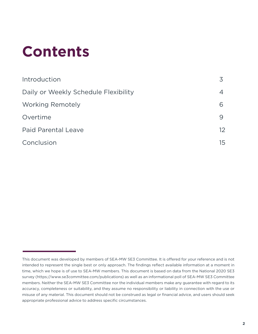# **Contents**

| Introduction                         |    |  |  |
|--------------------------------------|----|--|--|
| Daily or Weekly Schedule Flexibility |    |  |  |
| <b>Working Remotely</b>              | 6  |  |  |
| Overtime                             | 9  |  |  |
| <b>Paid Parental Leave</b>           | 12 |  |  |
| Conclusion                           | 15 |  |  |

This document was developed by members of SEA-MW SE3 Committee. It is offered for your reference and is not intended to represent the single best or only approach. The findings reflect available information at a moment in time, which we hope is of use to SEA-MW members. This document is based on data from the National 2020 SE3 survey (https://www.se3committee.com/publications) as well as an informational poll of SEA-MW SE3 Committee members. Neither the SEA-MW SE3 Committee nor the individual members make any guarantee with regard to its accuracy, completeness or suitability, and they assume no responsibility or liability in connection with the use or misuse of any material. This document should not be construed as legal or financial advice, and users should seek appropriate professional advice to address specific circumstances.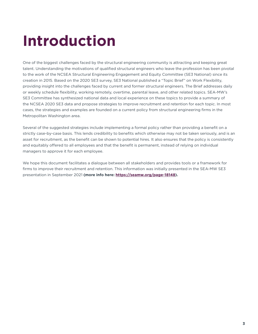# **Introduction**

One of the biggest challenges faced by the structural engineering community is attracting and keeping great talent. Understanding the motivations of qualified structural engineers who leave the profession has been pivotal to the work of the NCSEA Structural Engineering Engagement and Equity Committee (SE3 National) since its creation in 2015. Based on the 2020 SE3 survey, SE3 National published a "Topic Brief" on Work Flexibility, providing insight into the challenges faced by current and former structural engineers. The Brief addresses daily or weekly schedule flexibility, working remotely, overtime, parental leave, and other related topics. SEA-MW's SE3 Committee has synthesized national data and local experience on these topics to provide a summary of the NCSEA 2020 SE3 data and propose strategies to improve recruitment and retention for each topic. In most cases, the strategies and examples are founded on a current policy from structural engineering firms in the Metropolitan Washington area.

Several of the suggested strategies include implementing a formal policy rather than providing a benefit on a strictly case-by-case basis. This lends credibility to benefits which otherwise may not be taken seriously, and is an asset for recruitment, as the benefit can be shown to potential hires. It also ensures that the policy is consistently and equitably offered to all employees and that the benefit is permanent, instead of relying on individual managers to approve it for each employee.

We hope this document facilitates a dialogue between all stakeholders and provides tools or a framework for firms to improve their recruitment and retention. This information was initially presented in the SEA-MW SE3 presentation in September 2021 **(more info here: [https://seamw.org/page-18148\)](https://seamw.org/page-18148).**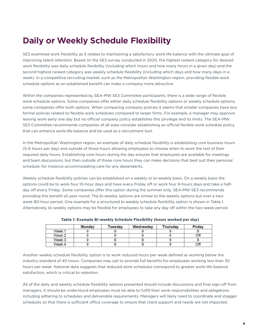## **Daily or Weekly Schedule Flexibility**

SE3 examined work flexibility as it relates to maintaining a satisfactory work-life balance with the ultimate goal of improving talent retention. Based on the SE3 survey conducted in 2020, the highest ranked category for desired work flexibility was daily schedule flexibility (including which hours and how many hours in a given day) and the second highest ranked category was weekly schedule flexibility (including which days and how many days in a week). In a competitive recruiting market, such as the Metropolitan Washington region, providing flexible work schedule options as an established benefit can make a company more attractive.

Within the companies represented by SEA-MW SE3 Committee participants, there is a wide range of flexible work schedule options. Some companies offer either daily schedule flexibility options or weekly schedule options; some companies offer both options. When comparing company policies it seems that smaller companies have less formal policies related to flexible work schedules compared to larger firms. For example, a manager may approve leaving work early one day but no official company policy establishes this privilege and its limits. The SEA-MW SE3 Committee recommends companies of all sizes consider establishing an official flexible work schedule policy that can enhance work-life balance and be used as a recruitment tool.

In the Metropolitan Washington region, an example of daily schedule flexibility is establishing core business hours (5-6 hours per day) and outside of those hours allowing employees to choose when to work the rest of their required daily hours. Establishing core hours during the day ensures that employees are available for meetings and team discussions, but then outside of those core hours they can make decisions that best suit their personal schedule, for instance accommodating care for any dependents.

Weekly schedule flexibility policies can be established on a weekly or bi-weekly basis. On a weekly basis the options could be to work four 10-hour days and have every Friday off or work four 9-hours days and take a halfday off every Friday. Some companies offer this option during the summer only. SEA-MW SE3 recommends providing this benefit all year round. The bi-weekly options are similar to the weekly options but over a twoweek 80-hour period. One example for a structured bi-weekly schedule flexibility option is shown in Table 1. Alternatively, bi-weekly options may be flexible for employees to take any day off within the two-week period.

|        | <b>Monday</b> | Tuesday | Wednesday | <b>Thursday</b> | Friday |
|--------|---------------|---------|-----------|-----------------|--------|
| Week 1 |               |         |           |                 |        |
| Week 2 |               |         |           |                 | Off    |
| Week 3 |               |         |           |                 |        |
| Week 4 |               |         |           |                 | Off    |

**Table 1: Example Bi-weekly Schedule Flexibility (hours worked per day)**

Another weekly schedule flexibility option is to work reduced hours per week defined as working below the industry standard of 40 hours. Companies may opt to provide full benefits for employees working less than 30 hours per week. National data suggests that reduced work schedules correspond to greater work-life-balance satisfaction, which is critical to retention.

All of the daily and weekly schedule flexibility options presented should include discussions and final sign-off from managers. It should be understood employees must be able to fulfill their work responsibilities and obligations including adhering to schedules and deliverable requirements. Managers will likely need to coordinate and stagger schedules so that there is sufficient office coverage to ensure that client support and needs are not impacted.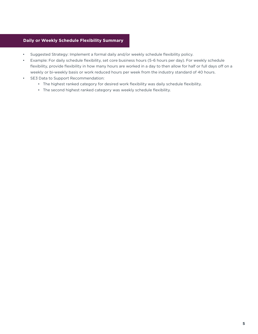### **Daily or Weekly Schedule Flexibility Summary**

- Suggested Strategy: Implement a formal daily and/or weekly schedule flexibility policy.
- Example: For daily schedule flexibility, set core business hours (5-6 hours per day). For weekly schedule flexibility, provide flexibility in how many hours are worked in a day to then allow for half or full days off on a weekly or bi-weekly basis or work reduced hours per week from the industry standard of 40 hours.
- SE3 Data to Support Recommendation:
	- The highest ranked category for desired work flexibility was daily schedule flexibility.
	- The second highest ranked category was weekly schedule flexibility.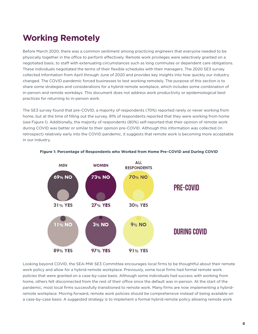## **Working Remotely**

Before March 2020, there was a common sentiment among practicing engineers that everyone needed to be physically together in the office to perform effectively. Remote work privileges were selectively granted on a negotiated basis, to staff with extenuating circumstances such as long commutes or dependent care obligations. These individuals negotiated the terms of their flexible schedules with their managers. The 2020 SE3 survey collected information from April through June of 2020 and provides key insights into how quickly our industry changed. The COVID pandemic forced businesses to test working remotely. The purpose of this section is to share some strategies and considerations for a hybrid-remote workplace, which includes some combination of in-person and remote workdays. This document does not address work productivity or epidemiological best practices for returning to in-person work.

The SE3 survey found that pre-COVID, a majority of respondents (70%) reported rarely or never working from home, but at the time of filling out the survey, 91% of respondents reported that they were working from home (see Figure 1). Additionally, the majority of respondents (80%) self-reported that their opinion of remote work during COVID was better or similar to their opinion pre-COVID. Although this information was collected (in retrospect) relatively early into the COVID pandemic, it suggests that remote work is becoming more acceptable in our industry.



#### **Figure 1: Percentage of Respondents who Worked from Home Pre-COVID and During COVID**

Looking beyond COVID, the SEA-MW SE3 Committee encourages local firms to be thoughtful about their remote work policy and allow for a hybrid-remote workplace. Previously, some local firms had formal remote work policies that were granted on a case-by-case basis. Although some individuals had success with working from home, others felt disconnected from the rest of their office since the default was in-person. At the start of the pandemic, most local firms successfully transitioned to remote work. Many firms are now implementing a hybridremote workplace. Moving forward, remote work policies should be comprehensive instead of being available on a case-by-case basis. A suggested strategy is to implement a formal hybrid remote policy allowing remote work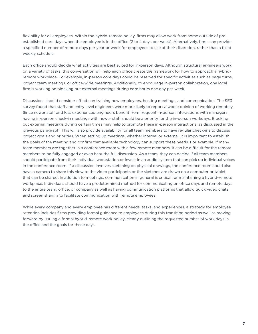flexibility for all employees. Within the hybrid-remote policy, firms may allow work from home outside of preestablished core days when the employee is in the office (2 to 4 days per week). Alternatively, firms can provide a specified number of remote days per year or week for employees to use at their discretion, rather than a fixed weekly schedule.

Each office should decide what activities are best suited for in-person days. Although structural engineers work on a variety of tasks, this conversation will help each office create the framework for how to approach a hybridremote workplace. For example, in-person core days could be reserved for specific activities such as page turns, project team meetings, or office-wide meetings. Additionally, to encourage in-person collaboration, one local firm is working on blocking out external meetings during core hours one day per week.

Discussions should consider effects on training new employees, hosting meetings, and communication. The SE3 survey found that staff and entry level engineers were more likely to report a worse opinion of working remotely. Since newer staff and less experienced engineers benefit from frequent in-person interactions with managers, having in-person check-in meetings with newer staff should be a priority for the in-person workdays. Blocking out external meetings during certain times may help to promote these in-person interactions, as discussed in the previous paragraph. This will also provide availability for all team members to have regular check-ins to discuss project goals and priorities. When setting up meetings, whether internal or external, it is important to establish the goals of the meeting and confirm that available technology can support these needs. For example, if many team members are together in a conference room with a few remote members, it can be difficult for the remote members to be fully engaged or even hear the full discussion. As a team, they can decide if all team members should participate from their individual workstation or invest in an audio system that can pick up individual voices in the conference room. If a discussion involves sketching on physical drawings, the conference room could also have a camera to share this view to the video participants or the sketches are drawn on a computer or tablet that can be shared. In addition to meetings, communication in general is critical for maintaining a hybrid-remote workplace. Individuals should have a predetermined method for communicating on office days and remote days to the entire team, office, or company as well as having communication platforms that allow quick video chats and screen sharing to facilitate communication with remote employees.

While every company and every employee has different needs, tasks, and experiences, a strategy for employee retention includes firms providing formal guidance to employees during this transition period as well as moving forward by issuing a formal hybrid-remote work policy, clearly outlining the requested number of work days in the office and the goals for those days.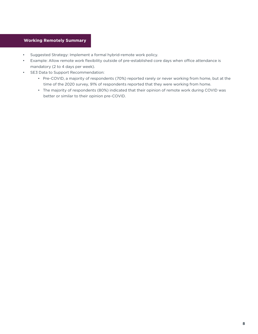### **Working Remotely Summary**

- Suggested Strategy: Implement a formal hybrid-remote work policy.
- Example: Allow remote work flexibility outside of pre-established core days when office attendance is mandatory (2 to 4 days per week).
- SE3 Data to Support Recommendation:
	- Pre-COVID, a majority of respondents (70%) reported rarely or never working from home, but at the time of the 2020 survey, 91% of respondents reported that they were working from home.
	- The majority of respondents (80%) indicated that their opinion of remote work during COVID was better or similar to their opinion pre-COVID.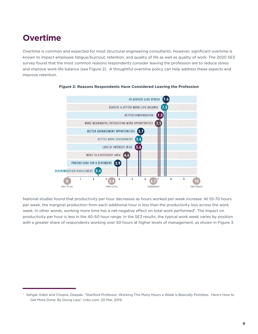## **Overtime**

Overtime is common and expected for most structural engineering consultants. However, significant overtime is known to impact employee fatigue/burnout, retention, and quality of life as well as quality of work. The 2020 SE3 survey found that the most common reasons respondents consider leaving the profession are to reduce stress and improve work-life balance (see Figure 2). A thoughtful overtime policy can help address these aspects and improve retention.



#### **Figure 2: Reasons Respondents Have Considered Leaving the Profession**

National studies found that productivity per hour decreases as hours worked per week increase. At 55-70 hours per week, the marginal production from each additional hour is less than the productivity loss across the work week. In other words, working more time has a net-negative effect on total work performed<sup>1</sup>. The impact on productivity per hour is less in the 40-50 hour range. In the SE3 results, the typical work week varies by position with a greater share of respondents working over 50 hours at higher levels of management, as shown in Figure 3.

<sup>1</sup> Sehgal, Kabir and Chopra, Deepak. "Stanford Professor: Working This Many Hours a Week is Basically Pointless. Here's How to Get More Done: By Doing Less" cnbc.com. 20 Mar, 2019.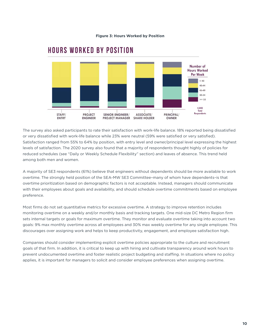

### **HOURS WORKED BY POSITION**

The survey also asked participants to rate their satisfaction with work-life balance. 18% reported being dissatisfied or very dissatisfied with work-life balance while 23% were neutral (59% were satisfied or very satisfied). Satisfaction ranged from 55% to 64% by position, with entry level and owner/principal level expressing the highest levels of satisfaction. The 2020 survey also found that a majority of respondents thought highly of policies for reduced schedules (see "Daily or Weekly Schedule Flexibility" section) and leaves of absence. This trend held among both men and women.

A majority of SE3 respondents (61%) believe that engineers without dependents should be more available to work overtime. The strongly held position of the SEA-MW SE3 Committee–many of whom have dependents–is that overtime prioritization based on demographic factors is not acceptable. Instead, managers should communicate with their employees about goals and availability, and should schedule overtime commitments based on employee preference.

Most firms do not set quantitative metrics for excessive overtime. A strategy to improve retention includes monitoring overtime on a weekly and/or monthly basis and tracking targets. One mid-size DC Metro Region firm sets internal targets or goals for maximum overtime. They monitor and evaluate overtime taking into account two goals: 9% max monthly overtime across all employees and 30% max weekly overtime for any single employee. This discourages over assigning work and helps to keep productivity, engagement, and employee satisfaction high.

Companies should consider implementing explicit overtime policies appropriate to the culture and recruitment goals of that firm. In addition, it is critical to keep up with hiring and cultivate transparency around work hours to prevent undocumented overtime and foster realistic project budgeting and staffing. In situations where no policy applies, it is important for managers to solicit and consider employee preferences when assigning overtime.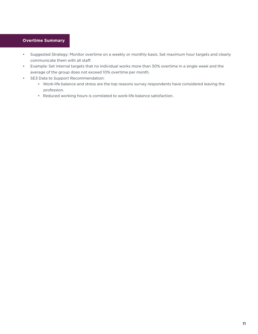### **Overtime Summary**

- Suggested Strategy: Monitor overtime on a weekly or monthly basis. Set maximum hour targets and clearly communicate them with all staff.
- Example: Set internal targets that no individual works more than 30% overtime in a single week and the average of the group does not exceed 10% overtime per month.
- SE3 Data to Support Recommendation:
	- Work-life balance and stress are the top reasons survey respondents have considered leaving the profession.
	- Reduced working hours is correlated to work-life balance satisfaction.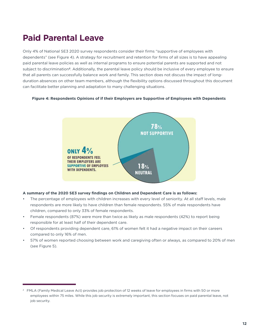## **Paid Parental Leave**

Only 4% of National SE3 2020 survey respondents consider their firms "supportive of employees with dependents" (see Figure 4). A strategy for recruitment and retention for firms of all sizes is to have appealing paid parental leave policies as well as internal programs to ensure potential parents are supported and not subject to discrimination**2**. Additionally, the parental leave policy should be inclusive of every employee to ensure that all parents can successfully balance work and family. This section does not discuss the impact of longduration absences on other team members, although the flexibility options discussed throughout this document can facilitate better planning and adaptation to many challenging situations.

#### **Figure 4: Respondents Opinions of if their Employers are Supportive of Employees with Dependents**



#### **A summary of the 2020 SE3 survey findings on Children and Dependent Care is as follows:**

- The percentage of employees with children increases with every level of seniority. At all staff levels, male respondents are more likely to have children than female respondents. 55% of male respondents have children, compared to only 33% of female respondents.
- Female respondents (87%) were more than twice as likely as male respondents (42%) to report being responsible for at least half of their dependent care.
- Of respondents providing dependent care, 61% of women felt it had a negative impact on their careers compared to only 16% of men.
- 57% of women reported choosing between work and caregiving often or always, as compared to 20% of men (see Figure 5).

<sup>&</sup>lt;sup>2</sup> FMLA (Family Medical Leave Act) provides job protection of 12 weeks of leave for employees in firms with 50 or more employees within 75 miles. While this job security is extremely important, this section focuses on paid parental leave, not job security.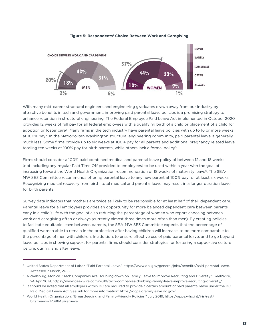

#### **Figure 5: Respondents' Choice Between Work and Caregiving**

With many mid-career structural engineers and engineering graduates drawn away from our industry by attractive benefits in tech and government, improving paid parental leave policies is a promising strategy to enhance retention in structural engineering. The Federal Employee Paid Leave Act implemented in October 2020 provides 12 weeks of full pay for all federal employees with a qualifying birth of a child or placement of a child for adoption or foster care**3**. Many firms in the tech industry have parental leave policies with up to 16 or more weeks at 100% pay**4**. In the Metropolitan Washington structural engineering community, paid parental leave is generally much less. Some firms provide up to six weeks at 100% pay for all parents and additional pregnancy related leave totaling ten weeks at 100% pay for birth parents, while others lack a formal policy**5**.

Firms should consider a 100% paid combined medical and parental leave policy of between 12 and 18 weeks (not including any regular Paid Time Off provided to employees) to be used within a year with the goal of increasing toward the World Health Organization recommendation of 18 weeks of maternity leave**6**. The SEA-MW SE3 Committee recommends offering parental leave to any new parent at 100% pay for at least six weeks. Recognizing medical recovery from birth, total medical and parental leave may result in a longer duration leave for birth parents.

Survey data indicates that mothers are twice as likely to be responsible for at least half of their dependent care. Parental leave for all employees provides an opportunity for more balanced dependent care between parents early in a child's life with the goal of also reducing the percentage of women who report choosing between work and caregiving often or always (currently almost three times more often than men). By creating policies to facilitate equitable leave between parents, the SEA-MW SE3 Committee expects that the percentage of qualified women able to remain in the profession after having children will increase, to be more comparable to the percentage of men with children. In addition, to ensure effective use of paid parental leave, and to go beyond leave policies in showing support for parents, firms should consider strategies for fostering a supportive culture before, during, and after leave.

<sup>&</sup>lt;sup>3</sup> United States Department of Labor. "Paid Parental Leave." https://www.dol.gov/general/jobs/benefits/paid-parental-leave. Accessed 7 March, 2022.

<sup>4</sup> Nickelsburg, Monica. "Tech Companies Are Doubling down on Family Leave to Improve Recruiting and Diversity." GeekWire, 24 Apr. 2019, https://www.geekwire.com/2019/tech-companies-doubling-family-leave-improve-recruiting-diversity/.

<sup>5</sup> It should be noted that all employers within DC are required to provide a certain amount of paid parental leave under the DC Paid Medical Leave Act. See link for more information: https://dcpaidfamilyleave.dc.gov/

<sup>6</sup> World Health Organization. "Breastfeeding and Family-Friendly Policies." July 2019, https://apps.who.int/iris/rest/ bitstreams/1239848/retrieve.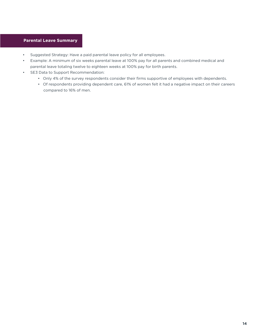### **Parental Leave Summary**

- Suggested Strategy: Have a paid parental leave policy for all employees.
- Example: A minimum of six weeks parental leave at 100% pay for all parents and combined medical and parental leave totaling twelve to eighteen weeks at 100% pay for birth parents.
- SE3 Data to Support Recommendation:
	- Only 4% of the survey respondents consider their firms supportive of employees with dependents.
	- Of respondents providing dependent care, 61% of women felt it had a negative impact on their careers compared to 16% of men.